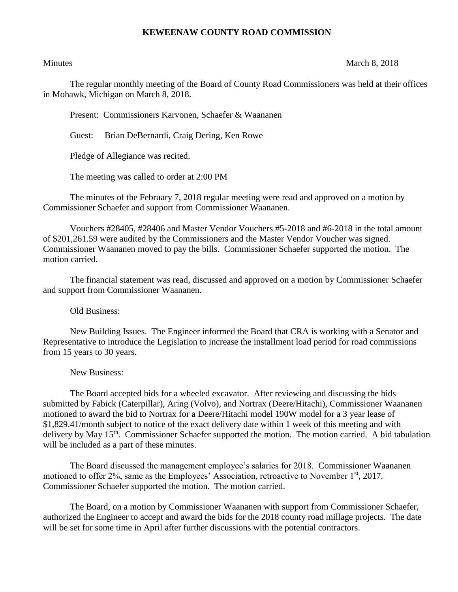## **KEWEENAW COUNTY ROAD COMMISSION**

## Minutes March 8, 2018

The regular monthly meeting of the Board of County Road Commissioners was held at their offices in Mohawk, Michigan on March 8, 2018.

Present: Commissioners Karvonen, Schaefer & Waananen

Guest: Brian DeBernardi, Craig Dering, Ken Rowe

Pledge of Allegiance was recited.

The meeting was called to order at 2:00 PM

The minutes of the February 7, 2018 regular meeting were read and approved on a motion by Commissioner Schaefer and support from Commissioner Waananen.

Vouchers #28405, #28406 and Master Vendor Vouchers #5-2018 and #6-2018 in the total amount of \$201,261.59 were audited by the Commissioners and the Master Vendor Voucher was signed. Commissioner Waananen moved to pay the bills. Commissioner Schaefer supported the motion. The motion carried.

The financial statement was read, discussed and approved on a motion by Commissioner Schaefer and support from Commissioner Waananen.

Old Business:

New Building Issues. The Engineer informed the Board that CRA is working with a Senator and Representative to introduce the Legislation to increase the installment load period for road commissions from 15 years to 30 years.

New Business:

The Board accepted bids for a wheeled excavator. After reviewing and discussing the bids submitted by Fabick (Caterpillar), Aring (Volvo), and Nortrax (Deere/Hitachi), Commissioner Waananen motioned to award the bid to Nortrax for a Deere/Hitachi model 190W model for a 3 year lease of \$1,829.41/month subject to notice of the exact delivery date within 1 week of this meeting and with delivery by May 15<sup>th</sup>. Commissioner Schaefer supported the motion. The motion carried. A bid tabulation will be included as a part of these minutes.

The Board discussed the management employee's salaries for 2018. Commissioner Waananen motioned to offer 2%, same as the Employees' Association, retroactive to November 1<sup>st</sup>, 2017. Commissioner Schaefer supported the motion. The motion carried.

The Board, on a motion by Commissioner Waananen with support from Commissioner Schaefer, authorized the Engineer to accept and award the bids for the 2018 county road millage projects. The date will be set for some time in April after further discussions with the potential contractors.